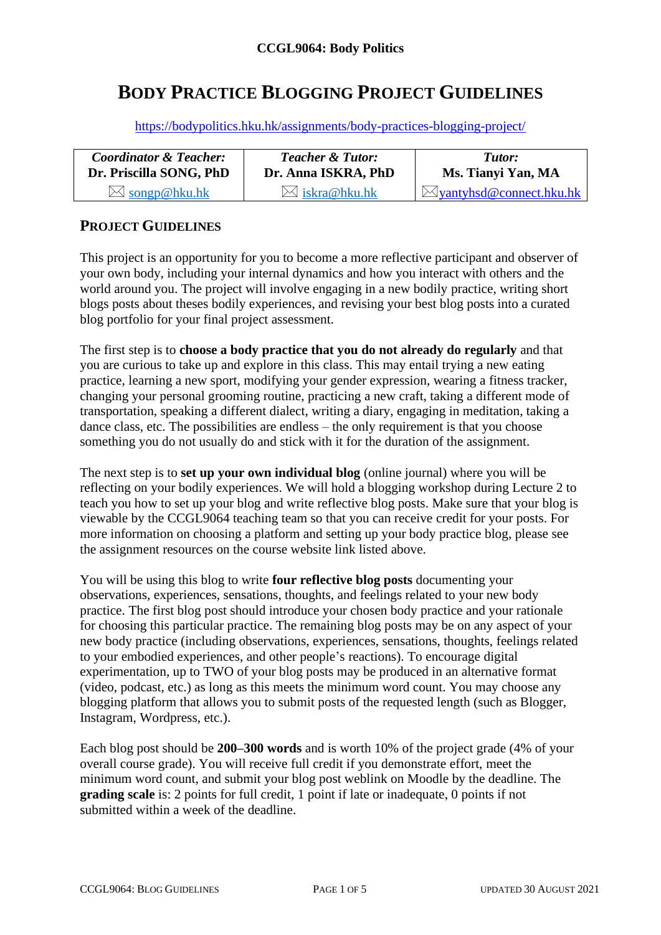# **BODY PRACTICE BLOGGING PROJECT GUIDELINES**

<https://bodypolitics.hku.hk/assignments/body-practices-blogging-project/>

| <b>Coordinator &amp; Teacher:</b> | <b>Teacher &amp; Tutor:</b> | Tutor:                              |  |
|-----------------------------------|-----------------------------|-------------------------------------|--|
| Dr. Priscilla SONG, PhD           | Dr. Anna ISKRA, PhD         | Ms. Tianyi Yan, MA                  |  |
| $\bowtie$ songp@hku.hk            | $\bowtie$ iskra@hku.hk      | $\boxtimes$ yantyhsd@connect.hku.hk |  |

#### **PROJECT GUIDELINES**

This project is an opportunity for you to become a more reflective participant and observer of your own body, including your internal dynamics and how you interact with others and the world around you. The project will involve engaging in a new bodily practice, writing short blogs posts about theses bodily experiences, and revising your best blog posts into a curated blog portfolio for your final project assessment.

The first step is to **choose a body practice that you do not already do regularly** and that you are curious to take up and explore in this class. This may entail trying a new eating practice, learning a new sport, modifying your gender expression, wearing a fitness tracker, changing your personal grooming routine, practicing a new craft, taking a different mode of transportation, speaking a different dialect, writing a diary, engaging in meditation, taking a dance class, etc. The possibilities are endless – the only requirement is that you choose something you do not usually do and stick with it for the duration of the assignment.

The next step is to **set up your own individual blog** (online journal) where you will be reflecting on your bodily experiences. We will hold a blogging workshop during Lecture 2 to teach you how to set up your blog and write reflective blog posts. Make sure that your blog is viewable by the CCGL9064 teaching team so that you can receive credit for your posts. For more information on choosing a platform and setting up your body practice blog, please see the assignment resources on the course website link listed above.

You will be using this blog to write **four reflective blog posts** documenting your observations, experiences, sensations, thoughts, and feelings related to your new body practice. The first blog post should introduce your chosen body practice and your rationale for choosing this particular practice. The remaining blog posts may be on any aspect of your new body practice (including observations, experiences, sensations, thoughts, feelings related to your embodied experiences, and other people's reactions). To encourage digital experimentation, up to TWO of your blog posts may be produced in an alternative format (video, podcast, etc.) as long as this meets the minimum word count. You may choose any blogging platform that allows you to submit posts of the requested length (such as Blogger, Instagram, Wordpress, etc.).

Each blog post should be **200–300 words** and is worth 10% of the project grade (4% of your overall course grade). You will receive full credit if you demonstrate effort, meet the minimum word count, and submit your blog post weblink on Moodle by the deadline. The **grading scale** is: 2 points for full credit, 1 point if late or inadequate, 0 points if not submitted within a week of the deadline.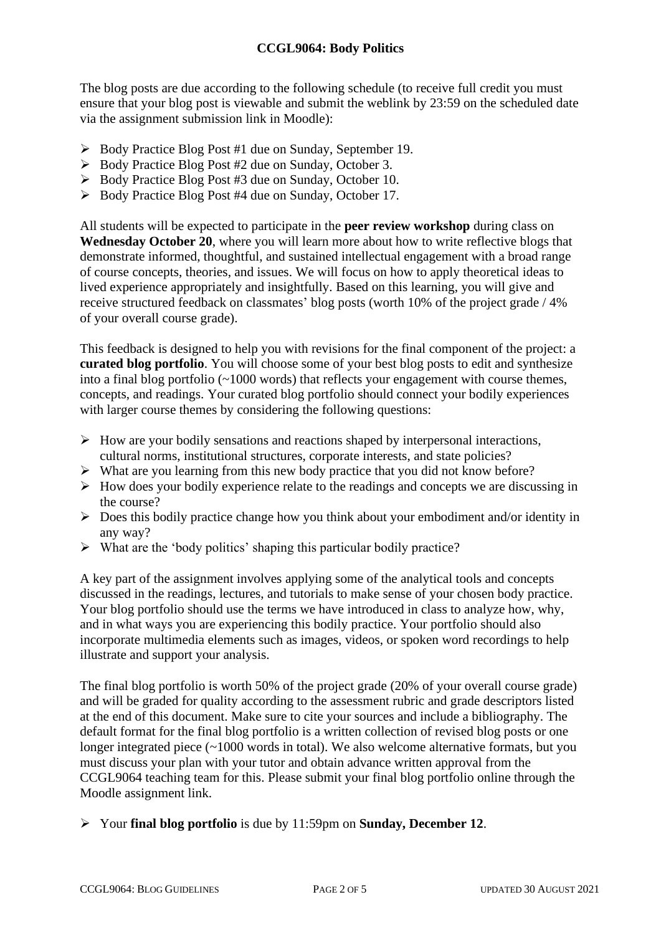The blog posts are due according to the following schedule (to receive full credit you must ensure that your blog post is viewable and submit the weblink by 23:59 on the scheduled date via the assignment submission link in Moodle):

- ➢ Body Practice Blog Post #1 due on Sunday, September 19.
- ➢ Body Practice Blog Post #2 due on Sunday, October 3.
- ➢ Body Practice Blog Post #3 due on Sunday, October 10.
- ➢ Body Practice Blog Post #4 due on Sunday, October 17.

All students will be expected to participate in the **peer review workshop** during class on **Wednesday October 20**, where you will learn more about how to write reflective blogs that demonstrate informed, thoughtful, and sustained intellectual engagement with a broad range of course concepts, theories, and issues. We will focus on how to apply theoretical ideas to lived experience appropriately and insightfully. Based on this learning, you will give and receive structured feedback on classmates' blog posts (worth 10% of the project grade / 4% of your overall course grade).

This feedback is designed to help you with revisions for the final component of the project: a **curated blog portfolio**. You will choose some of your best blog posts to edit and synthesize into a final blog portfolio (~1000 words) that reflects your engagement with course themes, concepts, and readings. Your curated blog portfolio should connect your bodily experiences with larger course themes by considering the following questions:

- $\triangleright$  How are your bodily sensations and reactions shaped by interpersonal interactions, cultural norms, institutional structures, corporate interests, and state policies?
- ➢ What are you learning from this new body practice that you did not know before?
- ➢ How does your bodily experience relate to the readings and concepts we are discussing in the course?
- ➢ Does this bodily practice change how you think about your embodiment and/or identity in any way?
- $\triangleright$  What are the 'body politics' shaping this particular bodily practice?

A key part of the assignment involves applying some of the analytical tools and concepts discussed in the readings, lectures, and tutorials to make sense of your chosen body practice. Your blog portfolio should use the terms we have introduced in class to analyze how, why, and in what ways you are experiencing this bodily practice. Your portfolio should also incorporate multimedia elements such as images, videos, or spoken word recordings to help illustrate and support your analysis.

The final blog portfolio is worth 50% of the project grade (20% of your overall course grade) and will be graded for quality according to the assessment rubric and grade descriptors listed at the end of this document. Make sure to cite your sources and include a bibliography. The default format for the final blog portfolio is a written collection of revised blog posts or one longer integrated piece (~1000 words in total). We also welcome alternative formats, but you must discuss your plan with your tutor and obtain advance written approval from the CCGL9064 teaching team for this. Please submit your final blog portfolio online through the Moodle assignment link.

➢ Your **final blog portfolio** is due by 11:59pm on **Sunday, December 12**.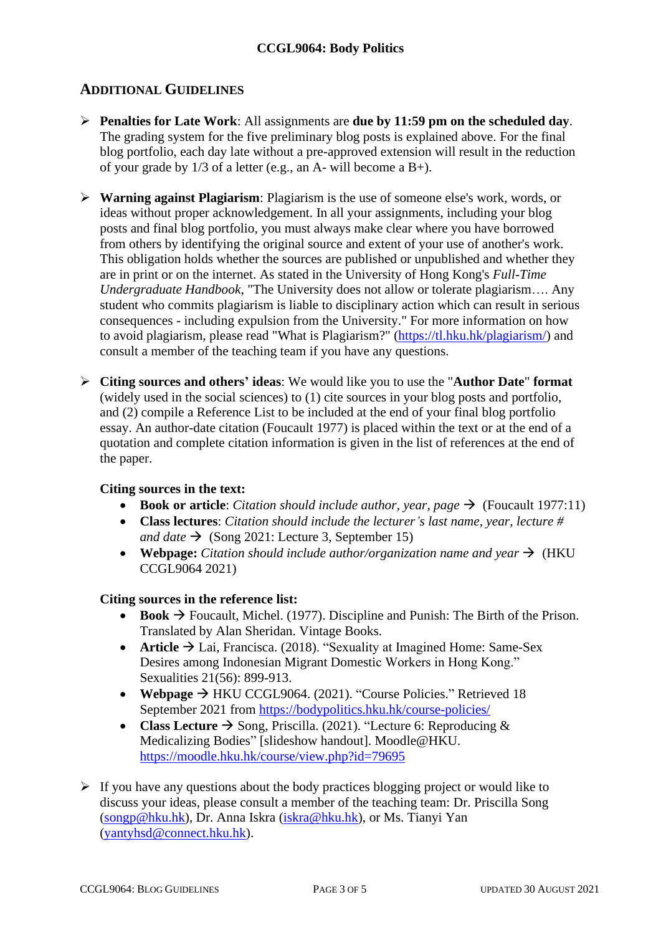### **ADDITIONAL GUIDELINES**

- ➢ **Penalties for Late Work**: All assignments are **due by 11:59 pm on the scheduled day**. The grading system for the five preliminary blog posts is explained above. For the final blog portfolio, each day late without a pre-approved extension will result in the reduction of your grade by 1/3 of a letter (e.g., an A- will become a B+).
- ➢ **Warning against Plagiarism**: Plagiarism is the use of someone else's work, words, or ideas without proper acknowledgement. In all your assignments, including your blog posts and final blog portfolio, you must always make clear where you have borrowed from others by identifying the original source and extent of your use of another's work. This obligation holds whether the sources are published or unpublished and whether they are in print or on the internet. As stated in the University of Hong Kong's *Full-Time Undergraduate Handbook*, "The University does not allow or tolerate plagiarism…. Any student who commits plagiarism is liable to disciplinary action which can result in serious consequences - including expulsion from the University." For more information on how to avoid plagiarism, please read "What is Plagiarism?" [\(https://tl.hku.hk/plagiarism/\)](https://tl.hku.hk/plagiarism/) and consult a member of the teaching team if you have any questions.
- ➢ **Citing sources and others' ideas**: We would like you to use the "**Author Date**" **format** (widely used in the social sciences) to (1) cite sources in your blog posts and portfolio, and (2) compile a Reference List to be included at the end of your final blog portfolio essay. An author-date citation (Foucault 1977) is placed within the text or at the end of a quotation and complete citation information is given in the list of references at the end of the paper.

#### **Citing sources in the text:**

- **Book or article**: *Citation should include author, year, page*  $\rightarrow$  (Foucault 1977:11)
- **Class lectures**: *Citation should include the lecturer's last name, year, lecture # and date*  $\rightarrow$  (Song 2021: Lecture 3, September 15)
- **Webpage:** *Citation should include author/organization name and year*  $\rightarrow$  (HKU) CCGL9064 2021)

#### **Citing sources in the reference list:**

- **Book**  $\rightarrow$  Foucault, Michel. (1977). Discipline and Punish: The Birth of the Prison. Translated by Alan Sheridan. Vintage Books.
- **Article** → Lai, Francisca. (2018). "Sexuality at Imagined Home: Same-Sex Desires among Indonesian Migrant Domestic Workers in Hong Kong." Sexualities 21(56): 899-913.
- **Webpage** → HKU CCGL9064. (2021). "Course Policies." Retrieved 18 September 2021 from<https://bodypolitics.hku.hk/course-policies/>
- **Class Lecture**  $\rightarrow$  Song, Priscilla. (2021). "Lecture 6: Reproducing  $\&$ Medicalizing Bodies" [slideshow handout]. Moodle@HKU. <https://moodle.hku.hk/course/view.php?id=79695>
- $\triangleright$  If you have any questions about the body practices blogging project or would like to discuss your ideas, please consult a member of the teaching team: Dr. Priscilla Song [\(songp@hku.hk\)](mailto:songp@hku.hk), Dr. Anna Iskra [\(iskra@hku.hk\)](mailto:iskra@hku.hk), or Ms. Tianyi Yan [\(yantyhsd@connect.hku.hk\)](mailto:yantyhsd@connect.hku.hk).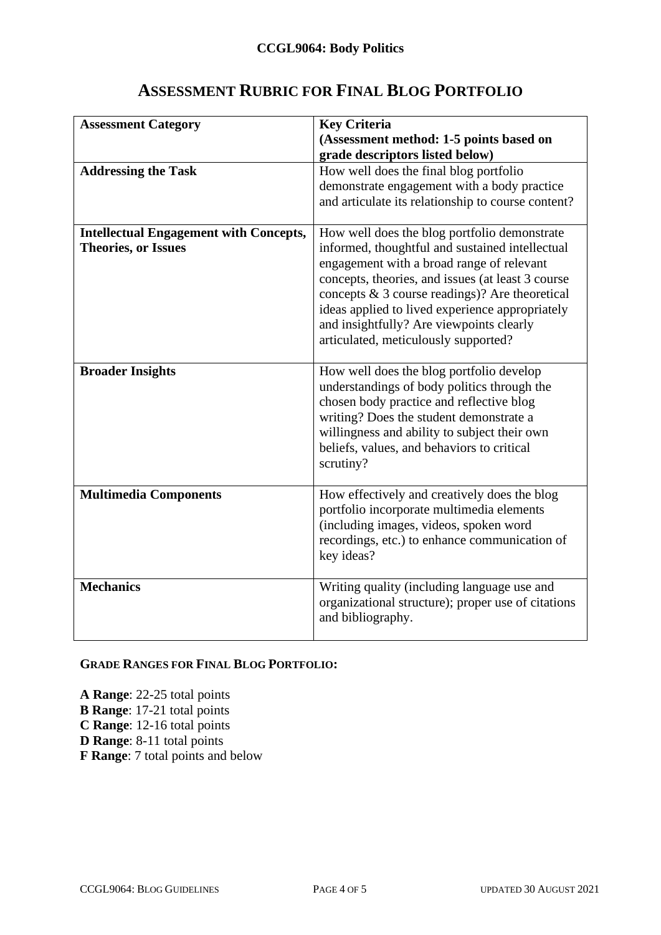### **ASSESSMENT RUBRIC FOR FINAL BLOG PORTFOLIO**

| <b>Assessment Category</b><br><b>Addressing the Task</b>                    | <b>Key Criteria</b><br>(Assessment method: 1-5 points based on<br>grade descriptors listed below)<br>How well does the final blog portfolio                                                                                                                                                                                                                                                   |  |
|-----------------------------------------------------------------------------|-----------------------------------------------------------------------------------------------------------------------------------------------------------------------------------------------------------------------------------------------------------------------------------------------------------------------------------------------------------------------------------------------|--|
|                                                                             | demonstrate engagement with a body practice<br>and articulate its relationship to course content?                                                                                                                                                                                                                                                                                             |  |
| <b>Intellectual Engagement with Concepts,</b><br><b>Theories, or Issues</b> | How well does the blog portfolio demonstrate<br>informed, thoughtful and sustained intellectual<br>engagement with a broad range of relevant<br>concepts, theories, and issues (at least 3 course<br>concepts $\&$ 3 course readings)? Are theoretical<br>ideas applied to lived experience appropriately<br>and insightfully? Are viewpoints clearly<br>articulated, meticulously supported? |  |
| <b>Broader Insights</b>                                                     | How well does the blog portfolio develop<br>understandings of body politics through the<br>chosen body practice and reflective blog<br>writing? Does the student demonstrate a<br>willingness and ability to subject their own<br>beliefs, values, and behaviors to critical<br>scrutiny?                                                                                                     |  |
| <b>Multimedia Components</b>                                                | How effectively and creatively does the blog<br>portfolio incorporate multimedia elements<br>(including images, videos, spoken word<br>recordings, etc.) to enhance communication of<br>key ideas?                                                                                                                                                                                            |  |
| <b>Mechanics</b>                                                            | Writing quality (including language use and<br>organizational structure); proper use of citations<br>and bibliography.                                                                                                                                                                                                                                                                        |  |

#### **GRADE RANGES FOR FINAL BLOG PORTFOLIO:**

**A Range**: 22-25 total points **B Range**: 17-21 total points **C Range**: 12-16 total points **D Range**: 8-11 total points **F Range**: 7 total points and below